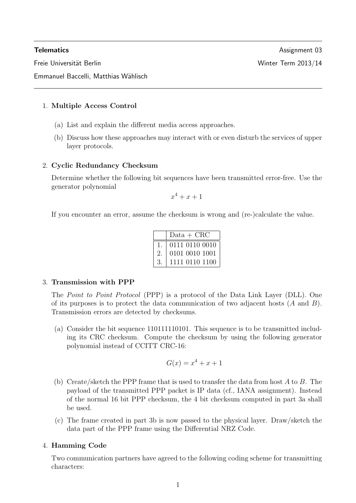Emmanuel Baccelli, Matthias Wählisch

# 1. Multiple Access Control

- (a) List and explain the different media access approaches.
- (b) Discuss how these approaches may interact with or even disturb the services of upper layer protocols.

## 2. Cyclic Redundancy Checksum

Determine whether the following bit sequences have been transmitted error-free. Use the generator polynomial

$$
x^4 + x + 1
$$

If you encounter an error, assume the checksum is wrong and (re-)calculate the value.

| $Data + CRC$   |
|----------------|
| 0111 0110 0010 |
| 0101 0010 1001 |
| 1111 0110 1100 |

#### 3. Transmission with PPP

The *Point to Point Protocol* (PPP) is a protocol of the Data Link Layer (DLL). One of its purposes is to protect the data communication of two adjacent hosts (A and B). Transmission errors are detected by checksums.

(a) Consider the bit sequence 110111110101. This sequence is to be transmitted including its CRC checksum. Compute the checksum by using the following generator polynomial instead of CCITT CRC-16:

$$
G(x) = x^4 + x + 1
$$

- (b) Create/sketch the PPP frame that is used to transfer the data from host A to B. The payload of the transmitted PPP packet is IP data (cf., IANA assignment). Instead of the normal 16 bit PPP checksum, the 4 bit checksum computed in part 3a shall be used.
- (c) The frame created in part 3b is now passed to the physical layer. Draw/sketch the data part of the PPP frame using the Differential NRZ Code.

## 4. Hamming Code

Two communication partners have agreed to the following coding scheme for transmitting characters: